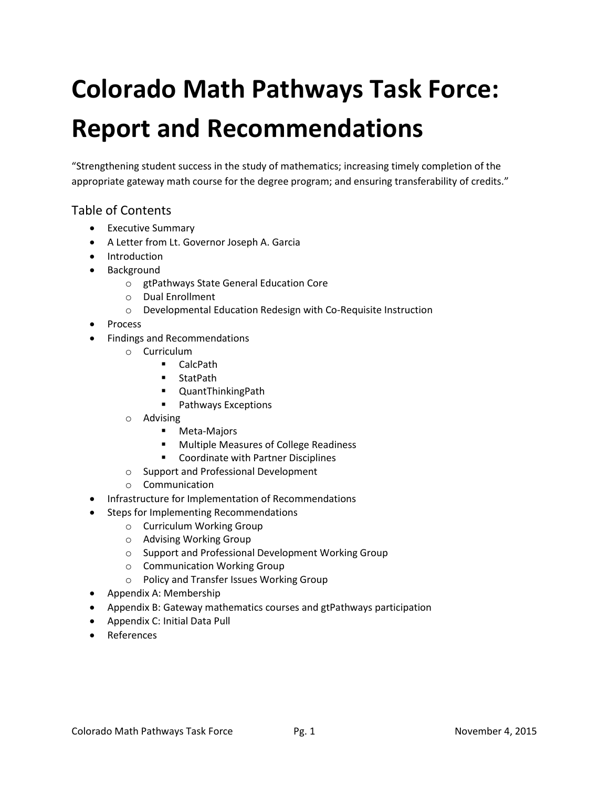# **Colorado Math Pathways Task Force: Report and Recommendations**

"Strengthening student success in the study of mathematics; increasing timely completion of the appropriate gateway math course for the degree program; and ensuring transferability of credits."

## Table of Contents

- Executive Summary
- A Letter from Lt. Governor Joseph A. Garcia
- Introduction
- Background
	- o gtPathways State General Education Core
	- o Dual Enrollment
	- o Developmental Education Redesign with Co-Requisite Instruction
- Process
- Findings and Recommendations
	- o Curriculum
		- CalcPath
		- StatPath
		- QuantThinkingPath
		- **Pathways Exceptions**
	- o Advising
		- **-** Meta-Majors
		- Multiple Measures of College Readiness
		- Coordinate with Partner Disciplines
	- o Support and Professional Development
	- o Communication
- Infrastructure for Implementation of Recommendations
	- Steps for Implementing Recommendations
		- o Curriculum Working Group
		- o Advising Working Group
		- o Support and Professional Development Working Group
		- o Communication Working Group
		- o Policy and Transfer Issues Working Group
- Appendix A: Membership
- Appendix B: Gateway mathematics courses and gtPathways participation
- Appendix C: Initial Data Pull
- References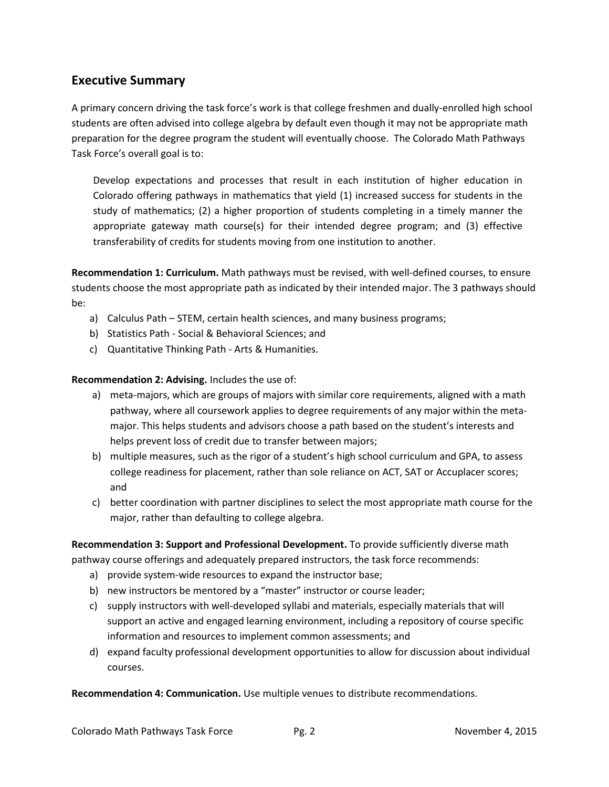## **Executive Summary**

A primary concern driving the task force's work is that college freshmen and dually-enrolled high school students are often advised into college algebra by default even though it may not be appropriate math preparation for the degree program the student will eventually choose. The Colorado Math Pathways Task Force's overall goal is to:

Develop expectations and processes that result in each institution of higher education in Colorado offering pathways in mathematics that yield (1) increased success for students in the study of mathematics; (2) a higher proportion of students completing in a timely manner the appropriate gateway math course(s) for their intended degree program; and (3) effective transferability of credits for students moving from one institution to another.

**Recommendation 1: Curriculum.** Math pathways must be revised, with well-defined courses, to ensure students choose the most appropriate path as indicated by their intended major. The 3 pathways should be:

- a) Calculus Path STEM, certain health sciences, and many business programs;
- b) Statistics Path Social & Behavioral Sciences; and
- c) Quantitative Thinking Path Arts & Humanities.

**Recommendation 2: Advising.** Includes the use of:

- a) meta-majors, which are groups of majors with similar core requirements, aligned with a math pathway, where all coursework applies to degree requirements of any major within the metamajor. This helps students and advisors choose a path based on the student's interests and helps prevent loss of credit due to transfer between majors;
- b) multiple measures, such as the rigor of a student's high school curriculum and GPA, to assess college readiness for placement, rather than sole reliance on ACT, SAT or Accuplacer scores; and
- c) better coordination with partner disciplines to select the most appropriate math course for the major, rather than defaulting to college algebra.

**Recommendation 3: Support and Professional Development.** To provide sufficiently diverse math pathway course offerings and adequately prepared instructors, the task force recommends:

- a) provide system-wide resources to expand the instructor base;
- b) new instructors be mentored by a "master" instructor or course leader;
- c) supply instructors with well-developed syllabi and materials, especially materials that will support an active and engaged learning environment, including a repository of course specific information and resources to implement common assessments; and
- d) expand faculty professional development opportunities to allow for discussion about individual courses.

**Recommendation 4: Communication.** Use multiple venues to distribute recommendations.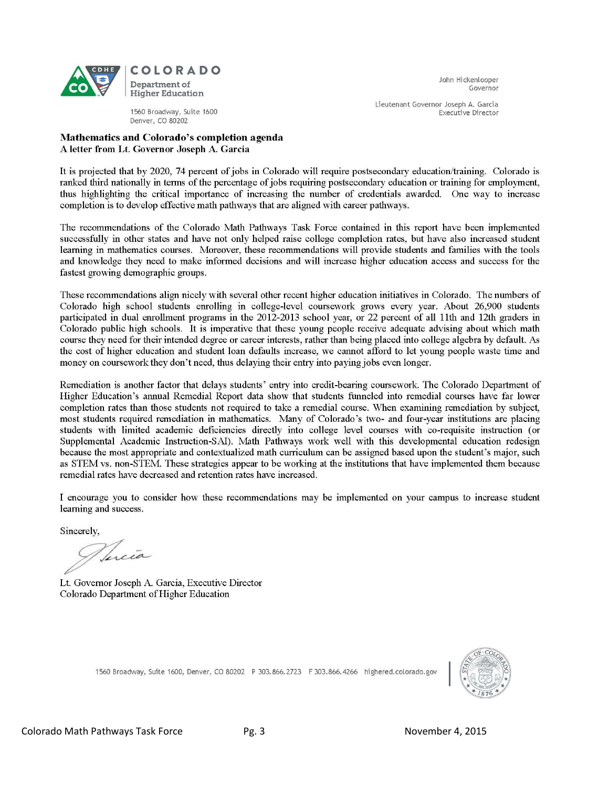

John Hickenlooper Governor

Lieutenant Governor Joseph A. Garcia **Executive Director** 

1560 Broadway, Suite 1600 Denver, CO 80202

#### Mathematics and Colorado's completion agenda A letter from Lt. Governor Joseph A. Garcia

It is projected that by 2020, 74 percent of jobs in Colorado will require postsecondary education/training. Colorado is ranked third nationally in terms of the percentage of jobs requiring postsecondary education or training for employment, thus highlighting the critical importance of increasing the number of credentials awarded. One way to increase completion is to develop effective math pathways that are aligned with career pathways.

The recommendations of the Colorado Math Pathways Task Force contained in this report have been implemented successfully in other states and have not only helped raise college completion rates, but have also increased student learning in mathematics courses. Moreover, these recommendations will provide students and families with the tools and knowledge they need to make informed decisions and will increase higher education access and success for the fastest growing demographic groups.

These recommendations align nicely with several other recent higher education initiatives in Colorado. The numbers of Colorado high school students enrolling in college-level coursework grows every year. About 26,900 students participated in dual enrollment programs in the 2012-2013 school year, or 22 percent of all 11th and 12th graders in Colorado public high schools. It is imperative that these young people receive adequate advising about which math course they need for their intended degree or career interests, rather than being placed into college algebra by default. As the cost of higher education and student loan defaults increase, we cannot afford to let young people waste time and money on coursework they don't need, thus delaying their entry into paying jobs even longer.

Remediation is another factor that delays students' entry into credit-bearing coursework. The Colorado Department of Higher Education's annual Remedial Report data show that students funneled into remedial courses have far lower completion rates than those students not required to take a remedial course. When examining remediation by subject, most students required remediation in mathematics. Many of Colorado's two- and four-year institutions are placing students with limited academic deficiencies directly into college level courses with co-requisite instruction (or Supplemental Academic Instruction-SAI). Math Pathways work well with this developmental education redesign because the most appropriate and contextualized math curriculum can be assigned based upon the student's major, such as STEM vs. non-STEM. These strategies appear to be working at the institutions that have implemented them because remedial rates have decreased and retention rates have increased.

I encourage you to consider how these recommendations may be implemented on your campus to increase student learning and success.

Sincerely,

Tucia

Lt. Governor Joseph A. Garcia, Executive Director Colorado Department of Higher Education

1560 Broadway, Suite 1600, Denver, CO 80202 P 303.866.2723 F 303.866.4266 highered.colorado.gov

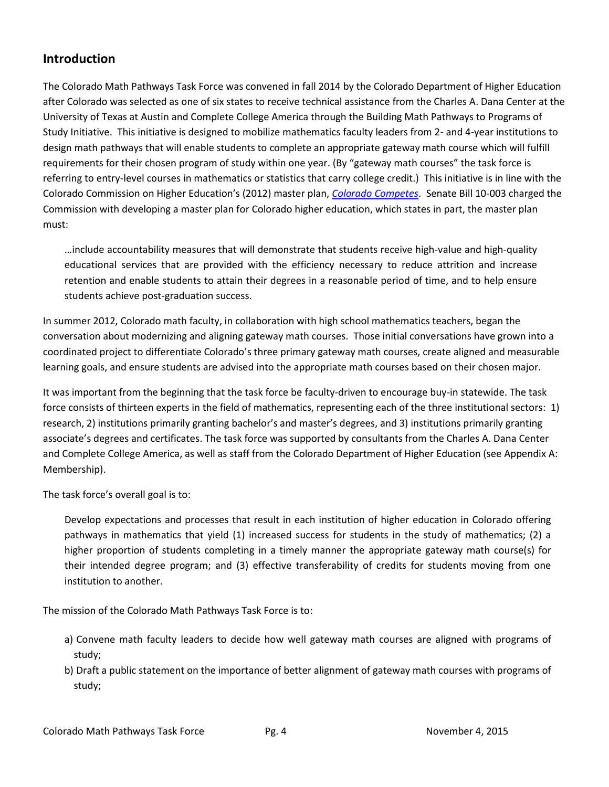## **Introduction**

The Colorado Math Pathways Task Force was convened in fall 2014 by the Colorado Department of Higher Education after Colorado was selected as one of six states to receive technical assistance from the Charles A. Dana Center at the University of Texas at Austin and Complete College America through the Building Math Pathways to Programs of Study Initiative. This initiative is designed to mobilize mathematics faculty leaders from 2- and 4-year institutions to design math pathways that will enable students to complete an appropriate gateway math course which will fulfill requirements for their chosen program of study within one year. (By "gateway math courses" the task force is referring to entry-level courses in mathematics or statistics that carry college credit.) This initiative is in line with the Colorado Commission on Higher Education's (2012) master plan, *[Colorado Competes](http://highered.colorado.gov/Publications/General/StrategicPlanning/MasterPlan2012/Master_Plan_Final.pdf)*. Senate Bill 10-003 charged the Commission with developing a master plan for Colorado higher education, which states in part, the master plan must:

…include accountability measures that will demonstrate that students receive high-value and high-quality educational services that are provided with the efficiency necessary to reduce attrition and increase retention and enable students to attain their degrees in a reasonable period of time, and to help ensure students achieve post-graduation success.

In summer 2012, Colorado math faculty, in collaboration with high school mathematics teachers, began the conversation about modernizing and aligning gateway math courses. Those initial conversations have grown into a coordinated project to differentiate Colorado's three primary gateway math courses, create aligned and measurable learning goals, and ensure students are advised into the appropriate math courses based on their chosen major.

It was important from the beginning that the task force be faculty-driven to encourage buy-in statewide. The task force consists of thirteen experts in the field of mathematics, representing each of the three institutional sectors: 1) research, 2) institutions primarily granting bachelor's and master's degrees, and 3) institutions primarily granting associate's degrees and certificates. The task force was supported by consultants from the Charles A. Dana Center and Complete College America, as well as staff from the Colorado Department of Higher Education (see Appendix A: Membership).

The task force's overall goal is to:

Develop expectations and processes that result in each institution of higher education in Colorado offering pathways in mathematics that yield (1) increased success for students in the study of mathematics; (2) a higher proportion of students completing in a timely manner the appropriate gateway math course(s) for their intended degree program; and (3) effective transferability of credits for students moving from one institution to another.

The mission of the Colorado Math Pathways Task Force is to:

- a) Convene math faculty leaders to decide how well gateway math courses are aligned with programs of study;
- b) Draft a public statement on the importance of better alignment of gateway math courses with programs of study;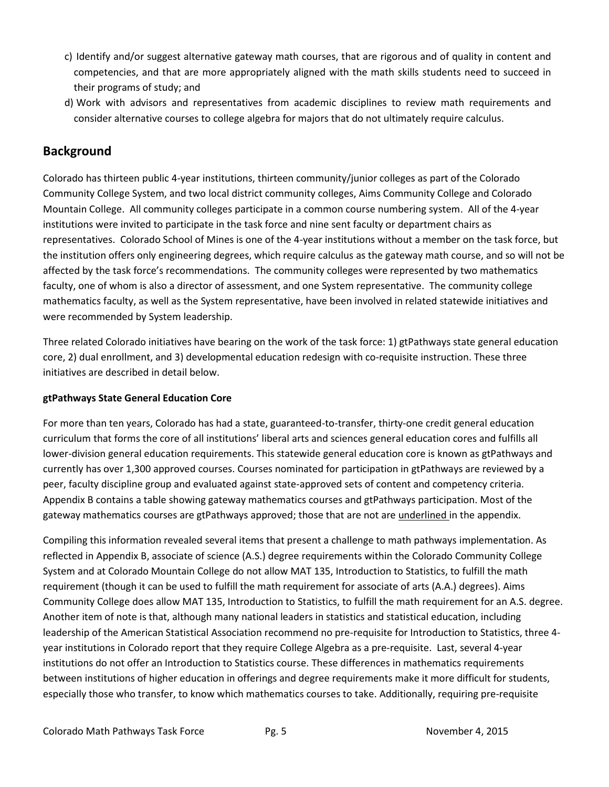- c) Identify and/or suggest alternative gateway math courses, that are rigorous and of quality in content and competencies, and that are more appropriately aligned with the math skills students need to succeed in their programs of study; and
- d) Work with advisors and representatives from academic disciplines to review math requirements and consider alternative courses to college algebra for majors that do not ultimately require calculus.

## **Background**

Colorado has thirteen public 4-year institutions, thirteen community/junior colleges as part of the Colorado Community College System, and two local district community colleges, Aims Community College and Colorado Mountain College. All community colleges participate in a common course numbering system. All of the 4-year institutions were invited to participate in the task force and nine sent faculty or department chairs as representatives. Colorado School of Mines is one of the 4-year institutions without a member on the task force, but the institution offers only engineering degrees, which require calculus as the gateway math course, and so will not be affected by the task force's recommendations. The community colleges were represented by two mathematics faculty, one of whom is also a director of assessment, and one System representative. The community college mathematics faculty, as well as the System representative, have been involved in related statewide initiatives and were recommended by System leadership.

Three related Colorado initiatives have bearing on the work of the task force: 1) gtPathways state general education core, 2) dual enrollment, and 3) developmental education redesign with co-requisite instruction. These three initiatives are described in detail below.

#### **gtPathways State General Education Core**

For more than ten years, Colorado has had a state, guaranteed-to-transfer, thirty-one credit general education curriculum that forms the core of all institutions' liberal arts and sciences general education cores and fulfills all lower-division general education requirements. This statewide general education core is known as gtPathways and currently has over 1,300 approved courses. Courses nominated for participation in gtPathways are reviewed by a peer, faculty discipline group and evaluated against state-approved sets of content and competency criteria. Appendix B contains a table showing gateway mathematics courses and gtPathways participation. Most of the gateway mathematics courses are gtPathways approved; those that are not are underlined in the appendix.

Compiling this information revealed several items that present a challenge to math pathways implementation. As reflected in Appendix B, associate of science (A.S.) degree requirements within the Colorado Community College System and at Colorado Mountain College do not allow MAT 135, Introduction to Statistics, to fulfill the math requirement (though it can be used to fulfill the math requirement for associate of arts (A.A.) degrees). Aims Community College does allow MAT 135, Introduction to Statistics, to fulfill the math requirement for an A.S. degree. Another item of note is that, although many national leaders in statistics and statistical education, including leadership of the American Statistical Association recommend no pre-requisite for Introduction to Statistics, three 4 year institutions in Colorado report that they require College Algebra as a pre-requisite. Last, several 4-year institutions do not offer an Introduction to Statistics course. These differences in mathematics requirements between institutions of higher education in offerings and degree requirements make it more difficult for students, especially those who transfer, to know which mathematics courses to take. Additionally, requiring pre-requisite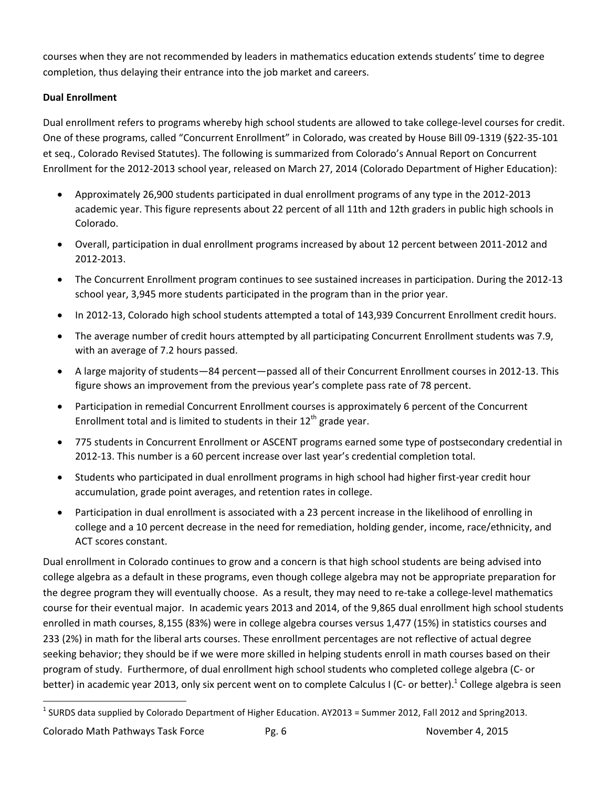courses when they are not recommended by leaders in mathematics education extends students' time to degree completion, thus delaying their entrance into the job market and careers.

### **Dual Enrollment**

Dual enrollment refers to programs whereby high school students are allowed to take college-level courses for credit. One of these programs, called "Concurrent Enrollment" in Colorado, was created by House Bill 09-1319 (§22-35-101 et seq., Colorado Revised Statutes). The following is summarized from Colorado's Annual Report on Concurrent Enrollment for the 2012-2013 school year, released on March 27, 2014 (Colorado Department of Higher Education):

- Approximately 26,900 students participated in dual enrollment programs of any type in the 2012-2013 academic year. This figure represents about 22 percent of all 11th and 12th graders in public high schools in Colorado.
- Overall, participation in dual enrollment programs increased by about 12 percent between 2011-2012 and 2012-2013.
- The Concurrent Enrollment program continues to see sustained increases in participation. During the 2012-13 school year, 3,945 more students participated in the program than in the prior year.
- In 2012-13, Colorado high school students attempted a total of 143,939 Concurrent Enrollment credit hours.
- The average number of credit hours attempted by all participating Concurrent Enrollment students was 7.9, with an average of 7.2 hours passed.
- A large majority of students—84 percent—passed all of their Concurrent Enrollment courses in 2012-13. This figure shows an improvement from the previous year's complete pass rate of 78 percent.
- Participation in remedial Concurrent Enrollment courses is approximately 6 percent of the Concurrent Enrollment total and is limited to students in their  $12^{th}$  grade vear.
- 775 students in Concurrent Enrollment or ASCENT programs earned some type of postsecondary credential in 2012-13. This number is a 60 percent increase over last year's credential completion total.
- Students who participated in dual enrollment programs in high school had higher first-year credit hour accumulation, grade point averages, and retention rates in college.
- Participation in dual enrollment is associated with a 23 percent increase in the likelihood of enrolling in college and a 10 percent decrease in the need for remediation, holding gender, income, race/ethnicity, and ACT scores constant.

Dual enrollment in Colorado continues to grow and a concern is that high school students are being advised into college algebra as a default in these programs, even though college algebra may not be appropriate preparation for the degree program they will eventually choose. As a result, they may need to re-take a college-level mathematics course for their eventual major. In academic years 2013 and 2014, of the 9,865 dual enrollment high school students enrolled in math courses, 8,155 (83%) were in college algebra courses versus 1,477 (15%) in statistics courses and 233 (2%) in math for the liberal arts courses. These enrollment percentages are not reflective of actual degree seeking behavior; they should be if we were more skilled in helping students enroll in math courses based on their program of study. Furthermore, of dual enrollment high school students who completed college algebra (C- or better) in academic year 2013, only six percent went on to complete Calculus I (C- or better).<sup>1</sup> College algebra is seen

Colorado Math Pathways Task Force Pg. 6 November 4, 2015

 $\overline{\phantom{a}}$ 

 $^1$  SURDS data supplied by Colorado Department of Higher Education. AY2013 = Summer 2012, Fall 2012 and Spring2013.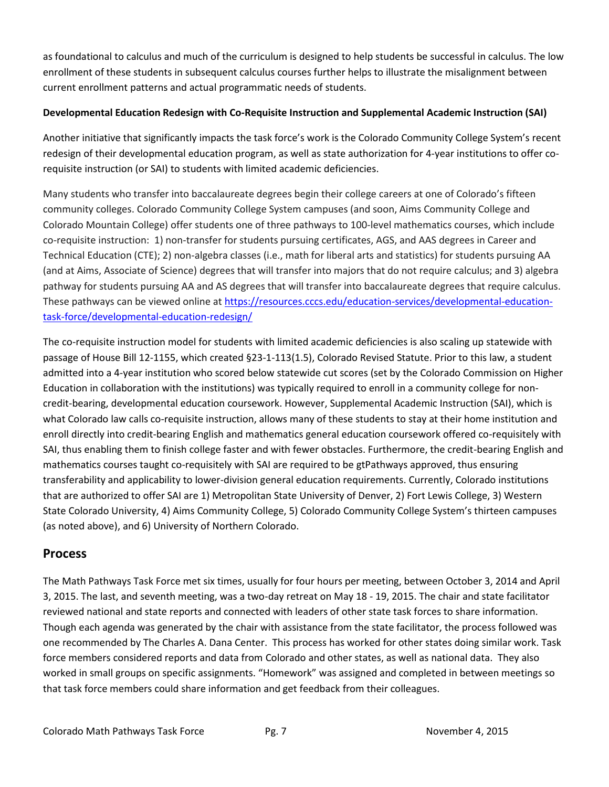as foundational to calculus and much of the curriculum is designed to help students be successful in calculus. The low enrollment of these students in subsequent calculus courses further helps to illustrate the misalignment between current enrollment patterns and actual programmatic needs of students.

#### **Developmental Education Redesign with Co-Requisite Instruction and Supplemental Academic Instruction (SAI)**

Another initiative that significantly impacts the task force's work is the Colorado Community College System's recent redesign of their developmental education program, as well as state authorization for 4-year institutions to offer corequisite instruction (or SAI) to students with limited academic deficiencies.

Many students who transfer into baccalaureate degrees begin their college careers at one of Colorado's fifteen community colleges. Colorado Community College System campuses (and soon, Aims Community College and Colorado Mountain College) offer students one of three pathways to 100-level mathematics courses, which include co-requisite instruction: 1) non-transfer for students pursuing certificates, AGS, and AAS degrees in Career and Technical Education (CTE); 2) non-algebra classes (i.e., math for liberal arts and statistics) for students pursuing AA (and at Aims, Associate of Science) degrees that will transfer into majors that do not require calculus; and 3) algebra pathway for students pursuing AA and AS degrees that will transfer into baccalaureate degrees that require calculus. These pathways can be viewed online at [https://resources.cccs.edu/education-services/developmental-education](https://resources.cccs.edu/education-services/developmental-education-task-force/developmental-education-redesign/)[task-force/developmental-education-redesign/](https://resources.cccs.edu/education-services/developmental-education-task-force/developmental-education-redesign/)

The co-requisite instruction model for students with limited academic deficiencies is also scaling up statewide with passage of House Bill 12-1155, which created §23-1-113(1.5), Colorado Revised Statute. Prior to this law, a student admitted into a 4-year institution who scored below statewide cut scores (set by the Colorado Commission on Higher Education in collaboration with the institutions) was typically required to enroll in a community college for noncredit-bearing, developmental education coursework. However, Supplemental Academic Instruction (SAI), which is what Colorado law calls co-requisite instruction, allows many of these students to stay at their home institution and enroll directly into credit-bearing English and mathematics general education coursework offered co-requisitely with SAI, thus enabling them to finish college faster and with fewer obstacles. Furthermore, the credit-bearing English and mathematics courses taught co-requisitely with SAI are required to be gtPathways approved, thus ensuring transferability and applicability to lower-division general education requirements. Currently, Colorado institutions that are authorized to offer SAI are 1) Metropolitan State University of Denver, 2) Fort Lewis College, 3) Western State Colorado University, 4) Aims Community College, 5) Colorado Community College System's thirteen campuses (as noted above), and 6) University of Northern Colorado.

## **Process**

The Math Pathways Task Force met six times, usually for four hours per meeting, between October 3, 2014 and April 3, 2015. The last, and seventh meeting, was a two-day retreat on May 18 - 19, 2015. The chair and state facilitator reviewed national and state reports and connected with leaders of other state task forces to share information. Though each agenda was generated by the chair with assistance from the state facilitator, the process followed was one recommended by The Charles A. Dana Center. This process has worked for other states doing similar work. Task force members considered reports and data from Colorado and other states, as well as national data. They also worked in small groups on specific assignments. "Homework" was assigned and completed in between meetings so that task force members could share information and get feedback from their colleagues.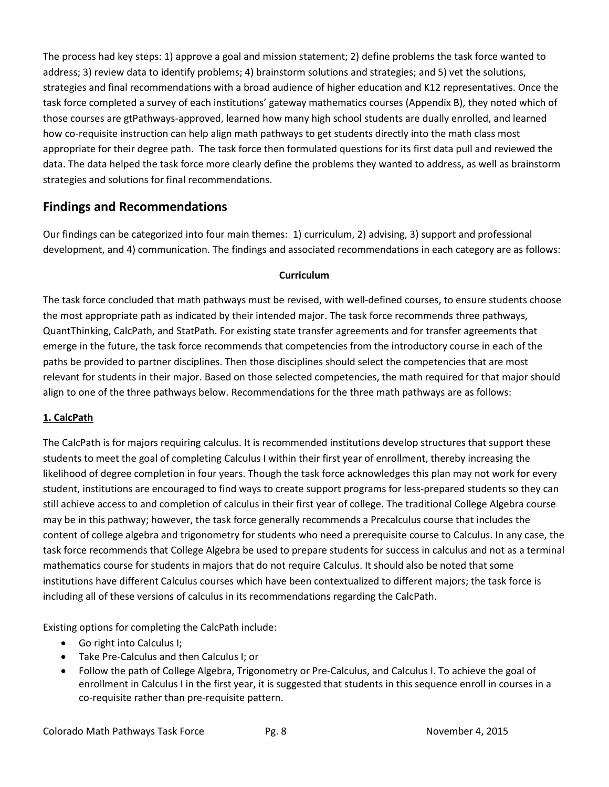The process had key steps: 1) approve a goal and mission statement; 2) define problems the task force wanted to address; 3) review data to identify problems; 4) brainstorm solutions and strategies; and 5) vet the solutions, strategies and final recommendations with a broad audience of higher education and K12 representatives. Once the task force completed a survey of each institutions' gateway mathematics courses (Appendix B), they noted which of those courses are gtPathways-approved, learned how many high school students are dually enrolled, and learned how co-requisite instruction can help align math pathways to get students directly into the math class most appropriate for their degree path. The task force then formulated questions for its first data pull and reviewed the data. The data helped the task force more clearly define the problems they wanted to address, as well as brainstorm strategies and solutions for final recommendations.

# **Findings and Recommendations**

Our findings can be categorized into four main themes: 1) curriculum, 2) advising, 3) support and professional development, and 4) communication. The findings and associated recommendations in each category are as follows:

#### **Curriculum**

The task force concluded that math pathways must be revised, with well-defined courses, to ensure students choose the most appropriate path as indicated by their intended major. The task force recommends three pathways, QuantThinking, CalcPath, and StatPath. For existing state transfer agreements and for transfer agreements that emerge in the future, the task force recommends that competencies from the introductory course in each of the paths be provided to partner disciplines. Then those disciplines should select the competencies that are most relevant for students in their major. Based on those selected competencies, the math required for that major should align to one of the three pathways below. Recommendations for the three math pathways are as follows:

## **1. CalcPath**

The CalcPath is for majors requiring calculus. It is recommended institutions develop structures that support these students to meet the goal of completing Calculus I within their first year of enrollment, thereby increasing the likelihood of degree completion in four years. Though the task force acknowledges this plan may not work for every student, institutions are encouraged to find ways to create support programs for less-prepared students so they can still achieve access to and completion of calculus in their first year of college. The traditional College Algebra course may be in this pathway; however, the task force generally recommends a Precalculus course that includes the content of college algebra and trigonometry for students who need a prerequisite course to Calculus. In any case, the task force recommends that College Algebra be used to prepare students for success in calculus and not as a terminal mathematics course for students in majors that do not require Calculus. It should also be noted that some institutions have different Calculus courses which have been contextualized to different majors; the task force is including all of these versions of calculus in its recommendations regarding the CalcPath.

Existing options for completing the CalcPath include:

- Go right into Calculus I;
- Take Pre-Calculus and then Calculus I; or
- Follow the path of College Algebra, Trigonometry or Pre-Calculus, and Calculus I. To achieve the goal of enrollment in Calculus I in the first year, it is suggested that students in this sequence enroll in courses in a co-requisite rather than pre-requisite pattern.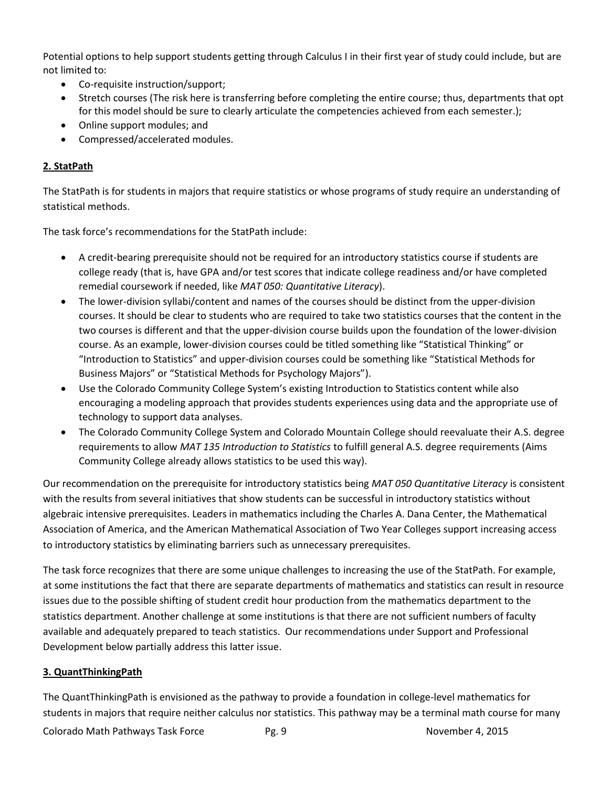Potential options to help support students getting through Calculus I in their first year of study could include, but are not limited to:

- Co-requisite instruction/support;
- Stretch courses (The risk here is transferring before completing the entire course; thus, departments that opt for this model should be sure to clearly articulate the competencies achieved from each semester.);
- Online support modules; and
- Compressed/accelerated modules.

## **2. StatPath**

The StatPath is for students in majors that require statistics or whose programs of study require an understanding of statistical methods.

The task force's recommendations for the StatPath include:

- A credit-bearing prerequisite should not be required for an introductory statistics course if students are college ready (that is, have GPA and/or test scores that indicate college readiness and/or have completed remedial coursework if needed, like *MAT 050: Quantitative Literacy*).
- The lower-division syllabi/content and names of the courses should be distinct from the upper-division courses. It should be clear to students who are required to take two statistics courses that the content in the two courses is different and that the upper-division course builds upon the foundation of the lower-division course. As an example, lower-division courses could be titled something like "Statistical Thinking" or "Introduction to Statistics" and upper-division courses could be something like "Statistical Methods for Business Majors" or "Statistical Methods for Psychology Majors").
- Use the Colorado Community College System's existing Introduction to Statistics content while also encouraging a modeling approach that provides students experiences using data and the appropriate use of technology to support data analyses.
- The Colorado Community College System and Colorado Mountain College should reevaluate their A.S. degree requirements to allow *MAT 135 Introduction to Statistics* to fulfill general A.S. degree requirements (Aims Community College already allows statistics to be used this way).

Our recommendation on the prerequisite for introductory statistics being *MAT 050 Quantitative Literacy* is consistent with the results from several initiatives that show students can be successful in introductory statistics without algebraic intensive prerequisites. Leaders in mathematics including the Charles A. Dana Center, the Mathematical Association of America, and the American Mathematical Association of Two Year Colleges support increasing access to introductory statistics by eliminating barriers such as unnecessary prerequisites.

The task force recognizes that there are some unique challenges to increasing the use of the StatPath. For example, at some institutions the fact that there are separate departments of mathematics and statistics can result in resource issues due to the possible shifting of student credit hour production from the mathematics department to the statistics department. Another challenge at some institutions is that there are not sufficient numbers of faculty available and adequately prepared to teach statistics. Our recommendations under Support and Professional Development below partially address this latter issue.

#### **3. QuantThinkingPath**

The QuantThinkingPath is envisioned as the pathway to provide a foundation in college-level mathematics for students in majors that require neither calculus nor statistics. This pathway may be a terminal math course for many

Colorado Math Pathways Task Force Pg. 9 November 4, 2015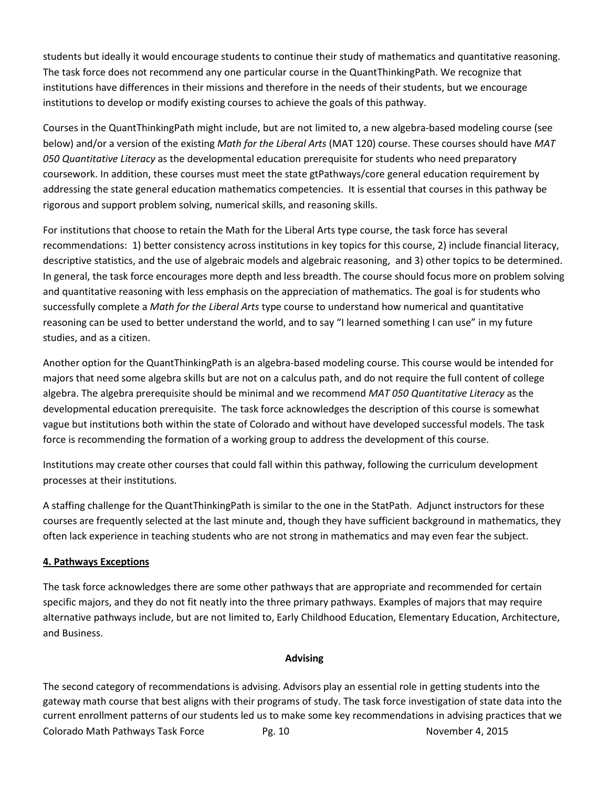students but ideally it would encourage students to continue their study of mathematics and quantitative reasoning. The task force does not recommend any one particular course in the QuantThinkingPath. We recognize that institutions have differences in their missions and therefore in the needs of their students, but we encourage institutions to develop or modify existing courses to achieve the goals of this pathway.

Courses in the QuantThinkingPath might include, but are not limited to, a new algebra-based modeling course (see below) and/or a version of the existing *Math for the Liberal Arts* (MAT 120) course. These courses should have *MAT 050 Quantitative Literacy* as the developmental education prerequisite for students who need preparatory coursework. In addition, these courses must meet the state gtPathways/core general education requirement by addressing the state general education mathematics competencies. It is essential that courses in this pathway be rigorous and support problem solving, numerical skills, and reasoning skills.

For institutions that choose to retain the Math for the Liberal Arts type course, the task force has several recommendations: 1) better consistency across institutions in key topics for this course, 2) include financial literacy, descriptive statistics, and the use of algebraic models and algebraic reasoning, and 3) other topics to be determined. In general, the task force encourages more depth and less breadth. The course should focus more on problem solving and quantitative reasoning with less emphasis on the appreciation of mathematics. The goal is for students who successfully complete a *Math for the Liberal Arts* type course to understand how numerical and quantitative reasoning can be used to better understand the world, and to say "I learned something I can use" in my future studies, and as a citizen.

Another option for the QuantThinkingPath is an algebra-based modeling course. This course would be intended for majors that need some algebra skills but are not on a calculus path, and do not require the full content of college algebra. The algebra prerequisite should be minimal and we recommend *MAT 050 Quantitative Literacy* as the developmental education prerequisite. The task force acknowledges the description of this course is somewhat vague but institutions both within the state of Colorado and without have developed successful models. The task force is recommending the formation of a working group to address the development of this course.

Institutions may create other courses that could fall within this pathway, following the curriculum development processes at their institutions.

A staffing challenge for the QuantThinkingPath is similar to the one in the StatPath. Adjunct instructors for these courses are frequently selected at the last minute and, though they have sufficient background in mathematics, they often lack experience in teaching students who are not strong in mathematics and may even fear the subject.

#### **4. Pathways Exceptions**

The task force acknowledges there are some other pathways that are appropriate and recommended for certain specific majors, and they do not fit neatly into the three primary pathways. Examples of majors that may require alternative pathways include, but are not limited to, Early Childhood Education, Elementary Education, Architecture, and Business.

#### **Advising**

Colorado Math Pathways Task Force Pg. 10 November 4, 2015 The second category of recommendations is advising. Advisors play an essential role in getting students into the gateway math course that best aligns with their programs of study. The task force investigation of state data into the current enrollment patterns of our students led us to make some key recommendations in advising practices that we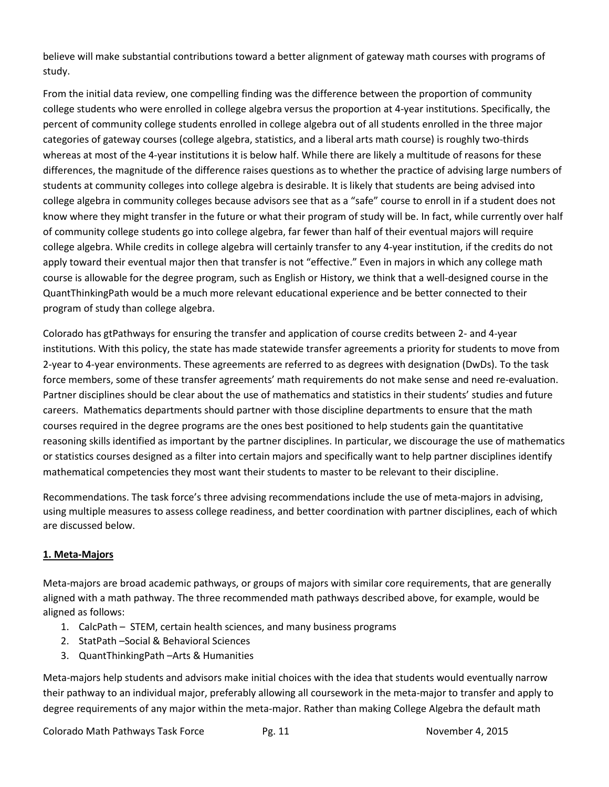believe will make substantial contributions toward a better alignment of gateway math courses with programs of study.

From the initial data review, one compelling finding was the difference between the proportion of community college students who were enrolled in college algebra versus the proportion at 4-year institutions. Specifically, the percent of community college students enrolled in college algebra out of all students enrolled in the three major categories of gateway courses (college algebra, statistics, and a liberal arts math course) is roughly two-thirds whereas at most of the 4-year institutions it is below half. While there are likely a multitude of reasons for these differences, the magnitude of the difference raises questions as to whether the practice of advising large numbers of students at community colleges into college algebra is desirable. It is likely that students are being advised into college algebra in community colleges because advisors see that as a "safe" course to enroll in if a student does not know where they might transfer in the future or what their program of study will be. In fact, while currently over half of community college students go into college algebra, far fewer than half of their eventual majors will require college algebra. While credits in college algebra will certainly transfer to any 4-year institution, if the credits do not apply toward their eventual major then that transfer is not "effective." Even in majors in which any college math course is allowable for the degree program, such as English or History, we think that a well-designed course in the QuantThinkingPath would be a much more relevant educational experience and be better connected to their program of study than college algebra.

Colorado has gtPathways for ensuring the transfer and application of course credits between 2- and 4-year institutions. With this policy, the state has made statewide transfer agreements a priority for students to move from 2-year to 4-year environments. These agreements are referred to as degrees with designation (DwDs). To the task force members, some of these transfer agreements' math requirements do not make sense and need re-evaluation. Partner disciplines should be clear about the use of mathematics and statistics in their students' studies and future careers. Mathematics departments should partner with those discipline departments to ensure that the math courses required in the degree programs are the ones best positioned to help students gain the quantitative reasoning skills identified as important by the partner disciplines. In particular, we discourage the use of mathematics or statistics courses designed as a filter into certain majors and specifically want to help partner disciplines identify mathematical competencies they most want their students to master to be relevant to their discipline.

Recommendations. The task force's three advising recommendations include the use of meta-majors in advising, using multiple measures to assess college readiness, and better coordination with partner disciplines, each of which are discussed below.

#### **1. Meta-Majors**

Meta-majors are broad academic pathways, or groups of majors with similar core requirements, that are generally aligned with a math pathway. The three recommended math pathways described above, for example, would be aligned as follows:

- 1. CalcPath STEM, certain health sciences, and many business programs
- 2. StatPath –Social & Behavioral Sciences
- 3. QuantThinkingPath –Arts & Humanities

Meta-majors help students and advisors make initial choices with the idea that students would eventually narrow their pathway to an individual major, preferably allowing all coursework in the meta-major to transfer and apply to degree requirements of any major within the meta-major. Rather than making College Algebra the default math

Colorado Math Pathways Task Force Pg. 11 November 4, 2015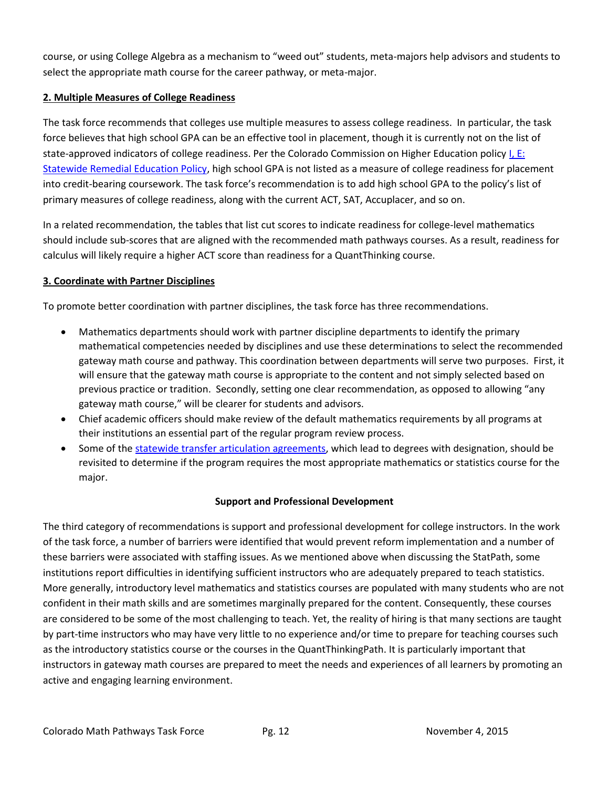course, or using College Algebra as a mechanism to "weed out" students, meta-majors help advisors and students to select the appropriate math course for the career pathway, or meta-major.

#### **2. Multiple Measures of College Readiness**

The task force recommends that colleges use multiple measures to assess college readiness. In particular, the task force believes that high school GPA can be an effective tool in placement, though it is currently not on the list of state-approved indicators of college readiness. Per the Colorado Commission on Higher Education polic[y I, E:](http://highered.colorado.gov/stats/track.asp?mtr=/Publications/Policies/Current/i-parte.pdf)  [Statewide Remedial Education Policy,](http://highered.colorado.gov/stats/track.asp?mtr=/Publications/Policies/Current/i-parte.pdf) high school GPA is not listed as a measure of college readiness for placement into credit-bearing coursework. The task force's recommendation is to add high school GPA to the policy's list of primary measures of college readiness, along with the current ACT, SAT, Accuplacer, and so on.

In a related recommendation, the tables that list cut scores to indicate readiness for college-level mathematics should include sub-scores that are aligned with the recommended math pathways courses. As a result, readiness for calculus will likely require a higher ACT score than readiness for a QuantThinking course.

## **3. Coordinate with Partner Disciplines**

To promote better coordination with partner disciplines, the task force has three recommendations.

- Mathematics departments should work with partner discipline departments to identify the primary mathematical competencies needed by disciplines and use these determinations to select the recommended gateway math course and pathway. This coordination between departments will serve two purposes. First, it will ensure that the gateway math course is appropriate to the content and not simply selected based on previous practice or tradition. Secondly, setting one clear recommendation, as opposed to allowing "any gateway math course," will be clearer for students and advisors.
- Chief academic officers should make review of the default mathematics requirements by all programs at their institutions an essential part of the regular program review process.
- Some of the [statewide transfer articulation agreements,](http://highered.colorado.gov/Academics/Transfers/Students.html) which lead to degrees with designation, should be revisited to determine if the program requires the most appropriate mathematics or statistics course for the major.

#### **Support and Professional Development**

The third category of recommendations is support and professional development for college instructors. In the work of the task force, a number of barriers were identified that would prevent reform implementation and a number of these barriers were associated with staffing issues. As we mentioned above when discussing the StatPath, some institutions report difficulties in identifying sufficient instructors who are adequately prepared to teach statistics. More generally, introductory level mathematics and statistics courses are populated with many students who are not confident in their math skills and are sometimes marginally prepared for the content. Consequently, these courses are considered to be some of the most challenging to teach. Yet, the reality of hiring is that many sections are taught by part-time instructors who may have very little to no experience and/or time to prepare for teaching courses such as the introductory statistics course or the courses in the QuantThinkingPath. It is particularly important that instructors in gateway math courses are prepared to meet the needs and experiences of all learners by promoting an active and engaging learning environment.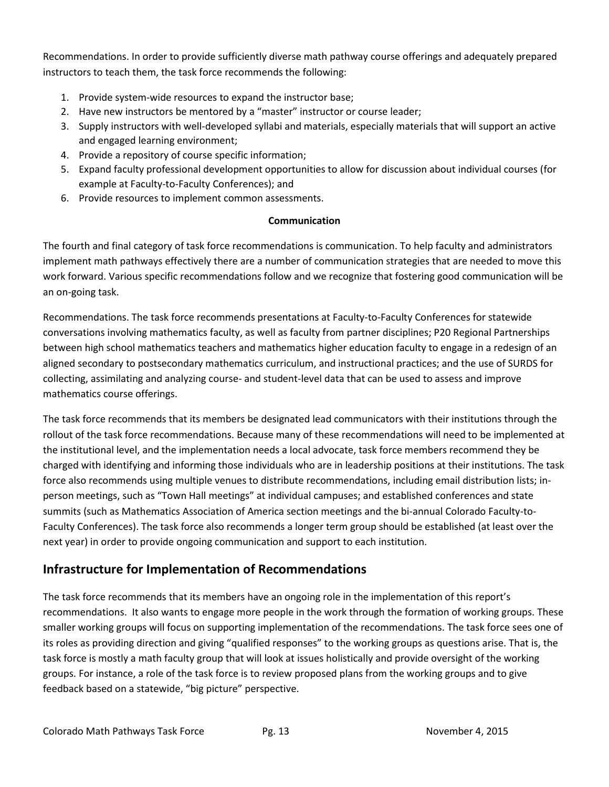Recommendations. In order to provide sufficiently diverse math pathway course offerings and adequately prepared instructors to teach them, the task force recommends the following:

- 1. Provide system-wide resources to expand the instructor base;
- 2. Have new instructors be mentored by a "master" instructor or course leader;
- 3. Supply instructors with well-developed syllabi and materials, especially materials that will support an active and engaged learning environment;
- 4. Provide a repository of course specific information;
- 5. Expand faculty professional development opportunities to allow for discussion about individual courses (for example at Faculty-to-Faculty Conferences); and
- 6. Provide resources to implement common assessments.

#### **Communication**

The fourth and final category of task force recommendations is communication. To help faculty and administrators implement math pathways effectively there are a number of communication strategies that are needed to move this work forward. Various specific recommendations follow and we recognize that fostering good communication will be an on-going task.

Recommendations. The task force recommends presentations at Faculty-to-Faculty Conferences for statewide conversations involving mathematics faculty, as well as faculty from partner disciplines; P20 Regional Partnerships between high school mathematics teachers and mathematics higher education faculty to engage in a redesign of an aligned secondary to postsecondary mathematics curriculum, and instructional practices; and the use of SURDS for collecting, assimilating and analyzing course- and student-level data that can be used to assess and improve mathematics course offerings.

The task force recommends that its members be designated lead communicators with their institutions through the rollout of the task force recommendations. Because many of these recommendations will need to be implemented at the institutional level, and the implementation needs a local advocate, task force members recommend they be charged with identifying and informing those individuals who are in leadership positions at their institutions. The task force also recommends using multiple venues to distribute recommendations, including email distribution lists; inperson meetings, such as "Town Hall meetings" at individual campuses; and established conferences and state summits (such as Mathematics Association of America section meetings and the bi-annual Colorado Faculty-to-Faculty Conferences). The task force also recommends a longer term group should be established (at least over the next year) in order to provide ongoing communication and support to each institution.

## **Infrastructure for Implementation of Recommendations**

The task force recommends that its members have an ongoing role in the implementation of this report's recommendations. It also wants to engage more people in the work through the formation of working groups. These smaller working groups will focus on supporting implementation of the recommendations. The task force sees one of its roles as providing direction and giving "qualified responses" to the working groups as questions arise. That is, the task force is mostly a math faculty group that will look at issues holistically and provide oversight of the working groups. For instance, a role of the task force is to review proposed plans from the working groups and to give feedback based on a statewide, "big picture" perspective.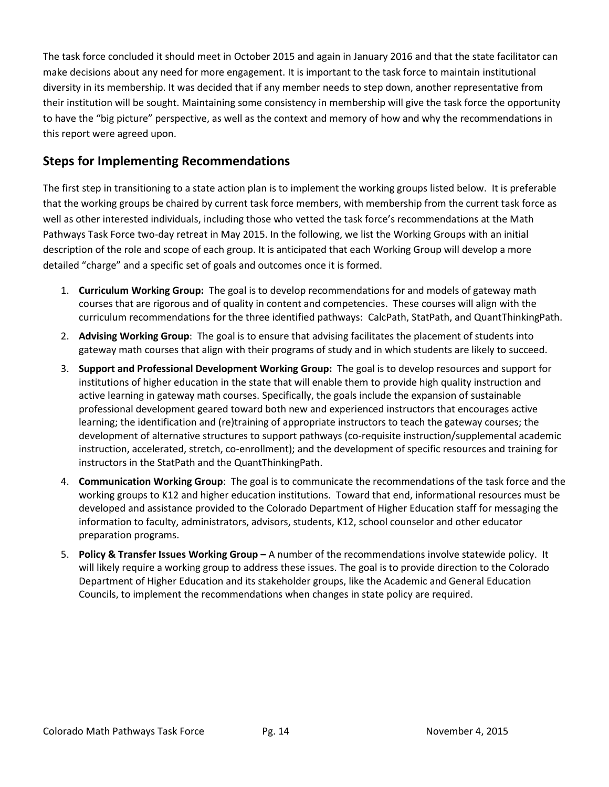The task force concluded it should meet in October 2015 and again in January 2016 and that the state facilitator can make decisions about any need for more engagement. It is important to the task force to maintain institutional diversity in its membership. It was decided that if any member needs to step down, another representative from their institution will be sought. Maintaining some consistency in membership will give the task force the opportunity to have the "big picture" perspective, as well as the context and memory of how and why the recommendations in this report were agreed upon.

## **Steps for Implementing Recommendations**

The first step in transitioning to a state action plan is to implement the working groups listed below. It is preferable that the working groups be chaired by current task force members, with membership from the current task force as well as other interested individuals, including those who vetted the task force's recommendations at the Math Pathways Task Force two-day retreat in May 2015. In the following, we list the Working Groups with an initial description of the role and scope of each group. It is anticipated that each Working Group will develop a more detailed "charge" and a specific set of goals and outcomes once it is formed.

- 1. **Curriculum Working Group:** The goal is to develop recommendations for and models of gateway math courses that are rigorous and of quality in content and competencies. These courses will align with the curriculum recommendations for the three identified pathways: CalcPath, StatPath, and QuantThinkingPath.
- 2. **Advising Working Group**: The goal is to ensure that advising facilitates the placement of students into gateway math courses that align with their programs of study and in which students are likely to succeed.
- 3. **Support and Professional Development Working Group:** The goal is to develop resources and support for institutions of higher education in the state that will enable them to provide high quality instruction and active learning in gateway math courses. Specifically, the goals include the expansion of sustainable professional development geared toward both new and experienced instructors that encourages active learning; the identification and (re)training of appropriate instructors to teach the gateway courses; the development of alternative structures to support pathways (co-requisite instruction/supplemental academic instruction, accelerated, stretch, co-enrollment); and the development of specific resources and training for instructors in the StatPath and the QuantThinkingPath.
- 4. **Communication Working Group**: The goal is to communicate the recommendations of the task force and the working groups to K12 and higher education institutions. Toward that end, informational resources must be developed and assistance provided to the Colorado Department of Higher Education staff for messaging the information to faculty, administrators, advisors, students, K12, school counselor and other educator preparation programs.
- 5. **Policy & Transfer Issues Working Group –** A number of the recommendations involve statewide policy. It will likely require a working group to address these issues. The goal is to provide direction to the Colorado Department of Higher Education and its stakeholder groups, like the Academic and General Education Councils, to implement the recommendations when changes in state policy are required.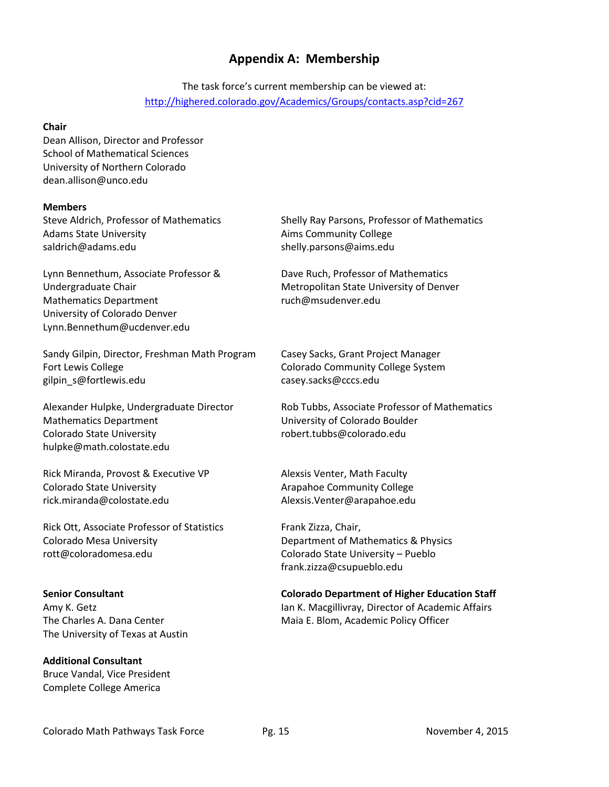## **Appendix A: Membership**

## The task force's current membership can be viewed at: <http://highered.colorado.gov/Academics/Groups/contacts.asp?cid=267>

#### **Chair**

Dean Allison, Director and Professor School of Mathematical Sciences University of Northern Colorado dean.allison@unco.edu

#### **Members**

Steve Aldrich, Professor of Mathematics Adams State University [saldrich@adams.edu](mailto:saldrich@adams.edu) 

Lynn Bennethum, Associate Professor & Undergraduate Chair Mathematics Department University of Colorado Denver Lynn.Bennethum@ucdenver.edu

Sandy Gilpin, Director, Freshman Math Program Fort Lewis College [gilpin\\_s@fortlewis.edu](mailto:gilpin_s@fortlewis.edu) 

Alexander Hulpke, Undergraduate Director Mathematics Department Colorado State University hulpke@math.colostate.edu

Rick Miranda, Provost & Executive VP Colorado State University rick.miranda@colostate.edu

Rick Ott, Associate Professor of Statistics Colorado Mesa University rott@coloradomesa.edu

#### **Senior Consultant**

Amy K. Getz The Charles A. Dana Center The University of Texas at Austin

**Additional Consultant** Bruce Vandal, Vice President Complete College America

Shelly Ray Parsons, Professor of Mathematics Aims Community College shelly.parsons@aims.edu

Dave Ruch, Professor of Mathematics Metropolitan State University of Denver [ruch@msudenver.edu](mailto:ruch@msudenver.edu) 

Casey Sacks, Grant Project Manager Colorado Community College System casey.sacks@cccs.edu

Rob Tubbs, Associate Professor of Mathematics University of Colorado Boulder robert.tubbs@colorado.edu

Alexsis Venter, Math Faculty Arapahoe Community College Alexsis.Venter@arapahoe.edu

Frank Zizza, Chair, Department of Mathematics & Physics Colorado State University – Pueblo frank.zizza@csupueblo.edu

#### **Colorado Department of Higher Education Staff**

Ian K. Macgillivray, Director of Academic Affairs Maia E. Blom, Academic Policy Officer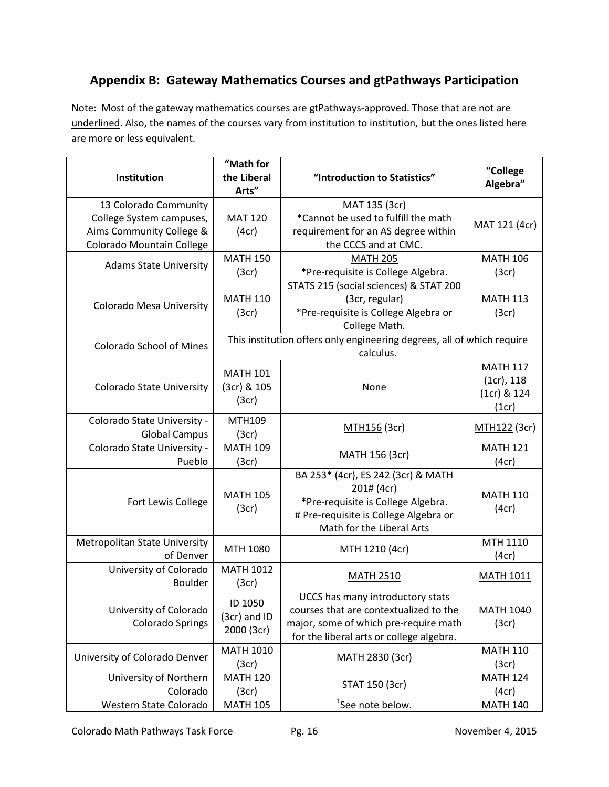# **Appendix B: Gateway Mathematics Courses and gtPathways Participation**

Note: Most of the gateway mathematics courses are gtPathways-approved. Those that are not are underlined. Also, the names of the courses vary from institution to institution, but the ones listed here are more or less equivalent.

| Institution                                                                                                | "Math for<br>the Liberal<br>Arts"         | "Introduction to Statistics"                                                                                                                                    | "College<br>Algebra"                                  |  |
|------------------------------------------------------------------------------------------------------------|-------------------------------------------|-----------------------------------------------------------------------------------------------------------------------------------------------------------------|-------------------------------------------------------|--|
| 13 Colorado Community<br>College System campuses,<br>Aims Community College &<br>Colorado Mountain College | <b>MAT 120</b><br>(4cr)                   | MAT 135 (3cr)<br>*Cannot be used to fulfill the math<br>requirement for an AS degree within<br>the CCCS and at CMC.                                             | MAT 121 (4cr)                                         |  |
| <b>Adams State University</b>                                                                              | <b>MATH 150</b><br>(3cr)                  | <b>MATH 205</b><br>*Pre-requisite is College Algebra.                                                                                                           | <b>MATH 106</b><br>(3cr)                              |  |
| <b>Colorado Mesa University</b>                                                                            | <b>MATH 110</b><br>(3cr)                  | STATS 215 (social sciences) & STAT 200<br>(3cr, regular)<br>*Pre-requisite is College Algebra or<br>College Math.                                               | <b>MATH 113</b><br>(3cr)                              |  |
| <b>Colorado School of Mines</b>                                                                            |                                           | This institution offers only engineering degrees, all of which require<br>calculus.                                                                             |                                                       |  |
| <b>Colorado State University</b>                                                                           | <b>MATH 101</b><br>(3cr) & 105<br>(3cr)   | None                                                                                                                                                            | <b>MATH 117</b><br>(1cr), 118<br>(1cr) & 124<br>(1cr) |  |
| Colorado State University -<br><b>Global Campus</b>                                                        | <b>MTH109</b><br>(3cr)                    | MTH156 (3cr)                                                                                                                                                    | MTH122 (3cr)                                          |  |
| Colorado State University -<br>Pueblo                                                                      | <b>MATH 109</b><br>(3cr)                  | MATH 156 (3cr)                                                                                                                                                  | <b>MATH 121</b><br>(4cr)                              |  |
| Fort Lewis College                                                                                         | <b>MATH 105</b><br>(3cr)                  | BA 253* (4cr), ES 242 (3cr) & MATH<br>201# (4cr)<br>*Pre-requisite is College Algebra.<br># Pre-requisite is College Algebra or<br>Math for the Liberal Arts    | <b>MATH 110</b><br>(4cr)                              |  |
| <b>Metropolitan State University</b><br>of Denver                                                          | MTH 1080                                  | MTH 1210 (4cr)                                                                                                                                                  | MTH 1110<br>(4cr)                                     |  |
| University of Colorado<br>Boulder                                                                          | <b>MATH 1012</b><br>(3cr)                 | <b>MATH 2510</b>                                                                                                                                                | <b>MATH 1011</b>                                      |  |
| University of Colorado<br><b>Colorado Springs</b>                                                          | ID 1050<br>$(3cr)$ and $ID$<br>2000 (3cr) | UCCS has many introductory stats<br>courses that are contextualized to the<br>major, some of which pre-require math<br>for the liberal arts or college algebra. | <b>MATH 1040</b><br>(3cr)                             |  |
| University of Colorado Denver                                                                              | <b>MATH 1010</b><br>(3cr)                 | MATH 2830 (3cr)                                                                                                                                                 | <b>MATH 110</b><br>(3cr)                              |  |
| University of Northern<br>Colorado                                                                         | <b>MATH 120</b><br>(3cr)                  | STAT 150 (3cr)                                                                                                                                                  | <b>MATH 124</b><br>(4cr)                              |  |
| Western State Colorado                                                                                     | <b>MATH 105</b>                           | <sup>1</sup> See note below.                                                                                                                                    | <b>MATH 140</b>                                       |  |

Colorado Math Pathways Task Force Pg. 16 November 4, 2015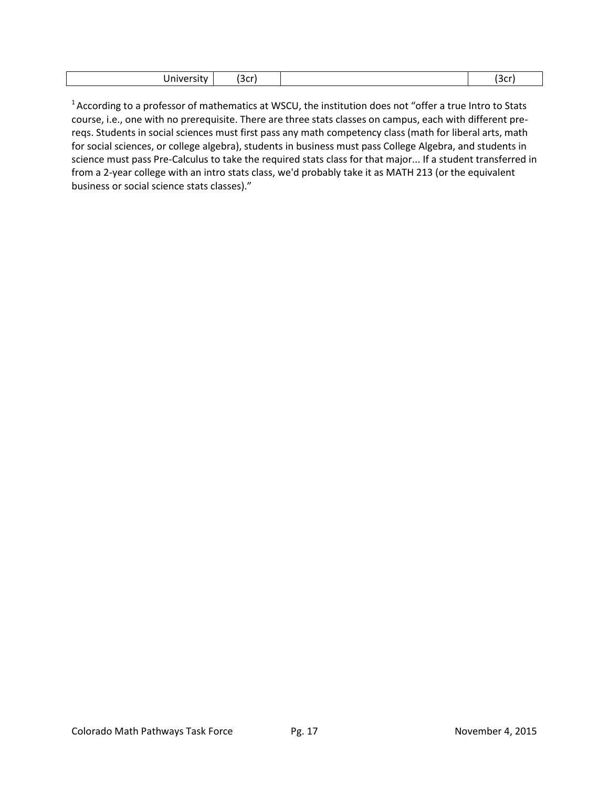| `∼∼ (<br><br>mve<br>. SILV<br>コレー | ---<br>. וטנ |
|-----------------------------------|--------------|
|-----------------------------------|--------------|

 $^1$ According to a professor of mathematics at WSCU, the institution does not "offer a true Intro to Stats course, i.e., one with no prerequisite. There are three stats classes on campus, each with different prereqs. Students in social sciences must first pass any math competency class (math for liberal arts, math for social sciences, or college algebra), students in business must pass College Algebra, and students in science must pass Pre-Calculus to take the required stats class for that major... If a student transferred in from a 2-year college with an intro stats class, we'd probably take it as MATH 213 (or the equivalent business or social science stats classes)."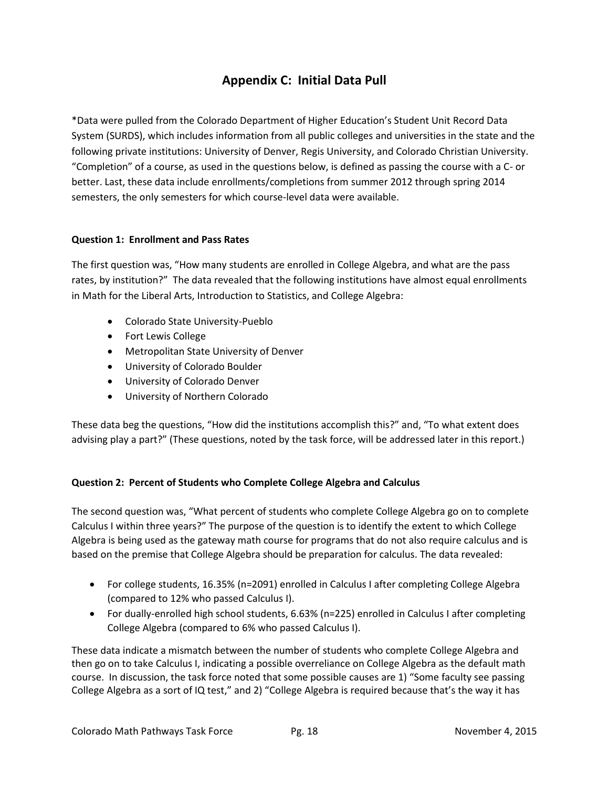# **Appendix C: Initial Data Pull**

\*Data were pulled from the Colorado Department of Higher Education's Student Unit Record Data System (SURDS), which includes information from all public colleges and universities in the state and the following private institutions: University of Denver, Regis University, and Colorado Christian University. "Completion" of a course, as used in the questions below, is defined as passing the course with a C- or better. Last, these data include enrollments/completions from summer 2012 through spring 2014 semesters, the only semesters for which course-level data were available.

#### **Question 1: Enrollment and Pass Rates**

The first question was, "How many students are enrolled in College Algebra, and what are the pass rates, by institution?" The data revealed that the following institutions have almost equal enrollments in Math for the Liberal Arts, Introduction to Statistics, and College Algebra:

- Colorado State University-Pueblo
- Fort Lewis College
- Metropolitan State University of Denver
- University of Colorado Boulder
- University of Colorado Denver
- University of Northern Colorado

These data beg the questions, "How did the institutions accomplish this?" and, "To what extent does advising play a part?" (These questions, noted by the task force, will be addressed later in this report.)

#### **Question 2: Percent of Students who Complete College Algebra and Calculus**

The second question was, "What percent of students who complete College Algebra go on to complete Calculus I within three years?" The purpose of the question is to identify the extent to which College Algebra is being used as the gateway math course for programs that do not also require calculus and is based on the premise that College Algebra should be preparation for calculus. The data revealed:

- For college students, 16.35% (n=2091) enrolled in Calculus I after completing College Algebra (compared to 12% who passed Calculus I).
- For dually-enrolled high school students, 6.63% (n=225) enrolled in Calculus I after completing College Algebra (compared to 6% who passed Calculus I).

These data indicate a mismatch between the number of students who complete College Algebra and then go on to take Calculus I, indicating a possible overreliance on College Algebra as the default math course. In discussion, the task force noted that some possible causes are 1) "Some faculty see passing College Algebra as a sort of IQ test," and 2) "College Algebra is required because that's the way it has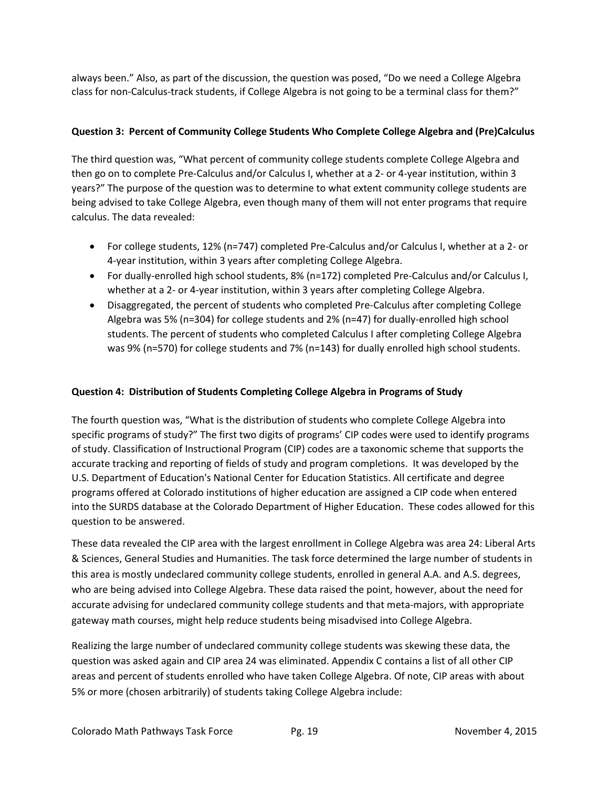always been." Also, as part of the discussion, the question was posed, "Do we need a College Algebra class for non-Calculus-track students, if College Algebra is not going to be a terminal class for them?"

#### **Question 3: Percent of Community College Students Who Complete College Algebra and (Pre)Calculus**

The third question was, "What percent of community college students complete College Algebra and then go on to complete Pre-Calculus and/or Calculus I, whether at a 2- or 4-year institution, within 3 years?" The purpose of the question was to determine to what extent community college students are being advised to take College Algebra, even though many of them will not enter programs that require calculus. The data revealed:

- For college students, 12% (n=747) completed Pre-Calculus and/or Calculus I, whether at a 2- or 4-year institution, within 3 years after completing College Algebra.
- For dually-enrolled high school students, 8% (n=172) completed Pre-Calculus and/or Calculus I, whether at a 2- or 4-year institution, within 3 years after completing College Algebra.
- Disaggregated, the percent of students who completed Pre-Calculus after completing College Algebra was 5% (n=304) for college students and 2% (n=47) for dually-enrolled high school students. The percent of students who completed Calculus I after completing College Algebra was 9% (n=570) for college students and 7% (n=143) for dually enrolled high school students.

#### **Question 4: Distribution of Students Completing College Algebra in Programs of Study**

The fourth question was, "What is the distribution of students who complete College Algebra into specific programs of study?" The first two digits of programs' CIP codes were used to identify programs of study. Classification of Instructional Program (CIP) codes are a taxonomic scheme that supports the accurate tracking and reporting of fields of study and program completions. It was developed by the U.S. Department of Education's National Center for Education Statistics. All certificate and degree programs offered at Colorado institutions of higher education are assigned a CIP code when entered into the SURDS database at the Colorado Department of Higher Education. These codes allowed for this question to be answered.

These data revealed the CIP area with the largest enrollment in College Algebra was area 24: Liberal Arts & Sciences, General Studies and Humanities. The task force determined the large number of students in this area is mostly undeclared community college students, enrolled in general A.A. and A.S. degrees, who are being advised into College Algebra. These data raised the point, however, about the need for accurate advising for undeclared community college students and that meta-majors, with appropriate gateway math courses, might help reduce students being misadvised into College Algebra.

Realizing the large number of undeclared community college students was skewing these data, the question was asked again and CIP area 24 was eliminated. Appendix C contains a list of all other CIP areas and percent of students enrolled who have taken College Algebra. Of note, CIP areas with about 5% or more (chosen arbitrarily) of students taking College Algebra include: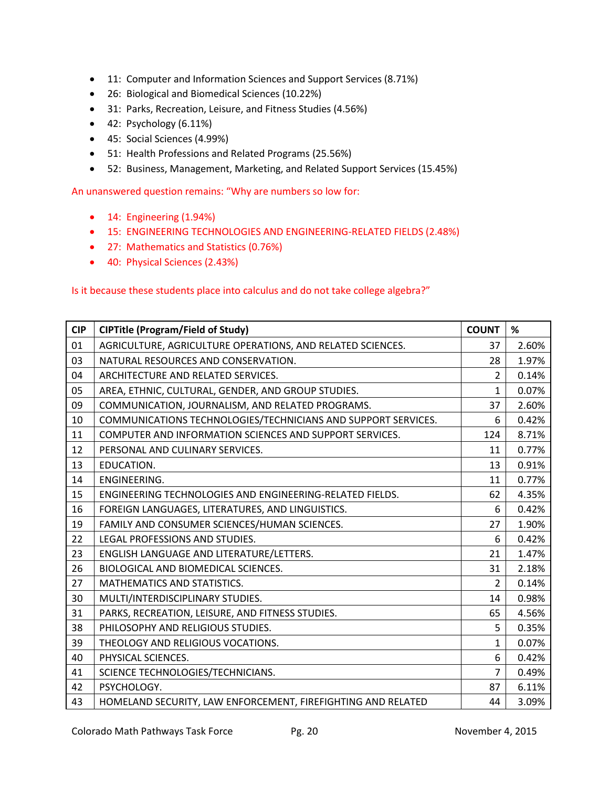- 11: Computer and Information Sciences and Support Services (8.71%)
- 26: Biological and Biomedical Sciences (10.22%)
- 31: Parks, Recreation, Leisure, and Fitness Studies (4.56%)
- $\bullet$  42: Psychology (6.11%)
- 45: Social Sciences (4.99%)
- 51: Health Professions and Related Programs (25.56%)
- 52: Business, Management, Marketing, and Related Support Services (15.45%)

An unanswered question remains: "Why are numbers so low for:

- 14: Engineering (1.94%)
- 15: ENGINEERING TECHNOLOGIES AND ENGINEERING-RELATED FIELDS (2.48%)
- 27: Mathematics and Statistics (0.76%)
- 40: Physical Sciences (2.43%)

Is it because these students place into calculus and do not take college algebra?"

| <b>CIP</b> | <b>CIPTitle (Program/Field of Study)</b>                      | <b>COUNT</b>   | %     |
|------------|---------------------------------------------------------------|----------------|-------|
| 01         | AGRICULTURE, AGRICULTURE OPERATIONS, AND RELATED SCIENCES.    |                | 2.60% |
| 03         | NATURAL RESOURCES AND CONSERVATION.                           | 28             | 1.97% |
| 04         | ARCHITECTURE AND RELATED SERVICES.                            | $\overline{2}$ | 0.14% |
| 05         | AREA, ETHNIC, CULTURAL, GENDER, AND GROUP STUDIES.            | $\mathbf{1}$   | 0.07% |
| 09         | COMMUNICATION, JOURNALISM, AND RELATED PROGRAMS.              | 37             | 2.60% |
| 10         | COMMUNICATIONS TECHNOLOGIES/TECHNICIANS AND SUPPORT SERVICES. |                | 0.42% |
| 11         | COMPUTER AND INFORMATION SCIENCES AND SUPPORT SERVICES.       |                | 8.71% |
| 12         | PERSONAL AND CULINARY SERVICES.                               | 11             | 0.77% |
| 13         | EDUCATION.                                                    | 13             | 0.91% |
| 14         | ENGINEERING.                                                  | 11             | 0.77% |
| 15         | ENGINEERING TECHNOLOGIES AND ENGINEERING-RELATED FIELDS.      | 62             | 4.35% |
| 16         | FOREIGN LANGUAGES, LITERATURES, AND LINGUISTICS.              | 6              | 0.42% |
| 19         | FAMILY AND CONSUMER SCIENCES/HUMAN SCIENCES.                  | 27             | 1.90% |
| 22         | LEGAL PROFESSIONS AND STUDIES.                                | 6              | 0.42% |
| 23         | ENGLISH LANGUAGE AND LITERATURE/LETTERS.                      | 21             | 1.47% |
| 26         | BIOLOGICAL AND BIOMEDICAL SCIENCES.                           | 31             | 2.18% |
| 27         | MATHEMATICS AND STATISTICS.                                   | $\overline{2}$ | 0.14% |
| 30         | MULTI/INTERDISCIPLINARY STUDIES.                              | 14             | 0.98% |
| 31         | PARKS, RECREATION, LEISURE, AND FITNESS STUDIES.              | 65             | 4.56% |
| 38         | PHILOSOPHY AND RELIGIOUS STUDIES.                             | 5              | 0.35% |
| 39         | THEOLOGY AND RELIGIOUS VOCATIONS.                             | 1              | 0.07% |
| 40         | PHYSICAL SCIENCES.                                            | 6              | 0.42% |
| 41         | SCIENCE TECHNOLOGIES/TECHNICIANS.                             | $\overline{7}$ | 0.49% |
| 42         | PSYCHOLOGY.                                                   | 87             | 6.11% |
| 43         | HOMELAND SECURITY, LAW ENFORCEMENT, FIREFIGHTING AND RELATED  | 44             | 3.09% |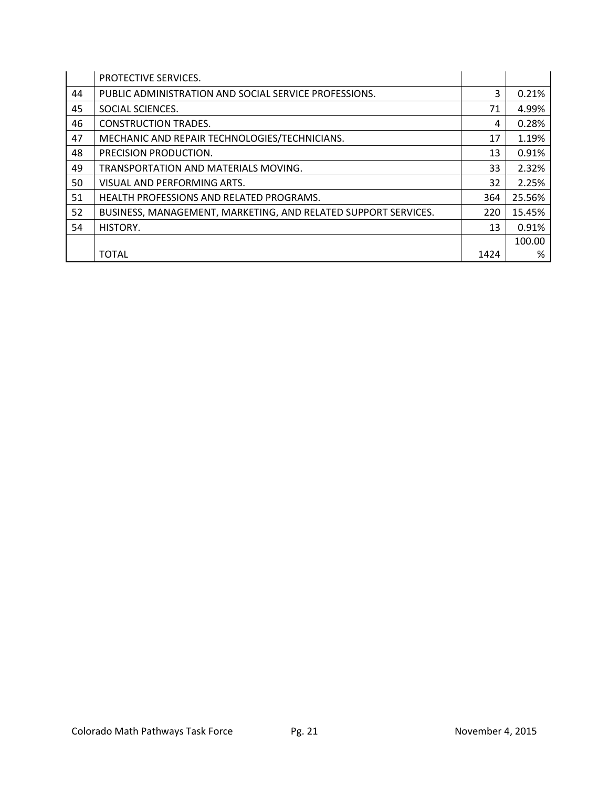|    | PROTECTIVE SERVICES.                                           |      |        |
|----|----------------------------------------------------------------|------|--------|
| 44 | PUBLIC ADMINISTRATION AND SOCIAL SERVICE PROFESSIONS.          | 3    | 0.21%  |
| 45 | SOCIAL SCIENCES.                                               | 71   | 4.99%  |
| 46 | <b>CONSTRUCTION TRADES.</b>                                    | 4    | 0.28%  |
| 47 | MECHANIC AND REPAIR TECHNOLOGIES/TECHNICIANS.                  | 17   | 1.19%  |
| 48 | PRECISION PRODUCTION.                                          | 13   | 0.91%  |
| 49 | TRANSPORTATION AND MATERIALS MOVING.                           | 33   | 2.32%  |
| 50 | VISUAL AND PERFORMING ARTS.                                    | 32   | 2.25%  |
| 51 | <b>HEALTH PROFESSIONS AND RELATED PROGRAMS.</b>                | 364  | 25.56% |
| 52 | BUSINESS, MANAGEMENT, MARKETING, AND RELATED SUPPORT SERVICES. | 220  | 15.45% |
| 54 | HISTORY.                                                       | 13   | 0.91%  |
|    |                                                                |      | 100.00 |
|    | <b>TOTAL</b>                                                   | 1424 | %      |